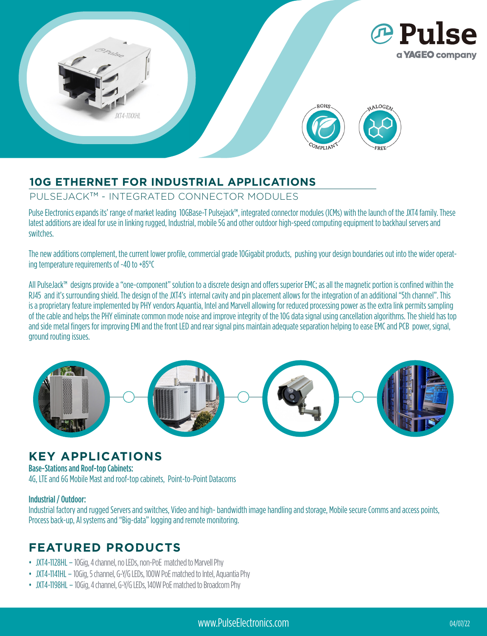

## **10G ETHERNET FOR INDUSTRIAL APPLICATIONS**

#### PULSEJACK™ - INTEGRATED CONNECTOR MODULES

Pulse Electronics expands its' range of market leading 10GBase-T Pulsejack™, integrated connector modules (ICMs) with the launch of the JXT4 family. These latest additions are ideal for use in linking rugged, Industrial, mobile 5G and other outdoor high-speed computing equipment to backhaul servers and switches.

The new additions complement, the current lower profile, commercial grade 10Gigabit products, pushing your design boundaries out into the wider operating temperature requirements of -40 to +85°C

All PulseJack™ designs provide a "one-component" solution to a discrete design and offers superior EMC; as all the magnetic portion is confined within the RJ45 and it's surrounding shield. The design of the JXT4's internal cavity and pin placement allows for the integration of an additional "5th channel". This is a proprietary feature implemented by PHY vendors Aquantia, Intel and Marvell allowing for reduced processing power as the extra link permits sampling of the cable and helps the PHY eliminate common mode noise and improve integrity of the 10G data signal using cancellation algorithms. The shield has top and side metal fingers for improving EMI and the front LED and rear signal pins maintain adequate separation helping to ease EMC and PCB power, signal, ground routing issues.



## **KEY APPLICATIONS**

Base-Stations and Roof-top Cabinets:

4G, LTE and 6G Mobile Mast and roof-top cabinets, Point-to-Point Datacoms

#### Industrial / Outdoor:

Industrial factory and rugged Servers and switches, Video and high- bandwidth image handling and storage, Mobile secure Comms and access points, Process back-up, AI systems and "Big-data" logging and remote monitoring.

# **FEATURED PRODUCTS**

- JXT4-1128HL 10Gig, 4 channel, no LEDs, non-PoE matched to Marvell Phy
- JXT4-1141HL 10Gig, 5 channel, G-Y/G LEDs, 100W PoE matched to Intel, Aquantia Phy
- JXT4-1198HL 10Gig, 4 channel, G-Y/G LEDs, 140W PoE matched to Broadcom Phy